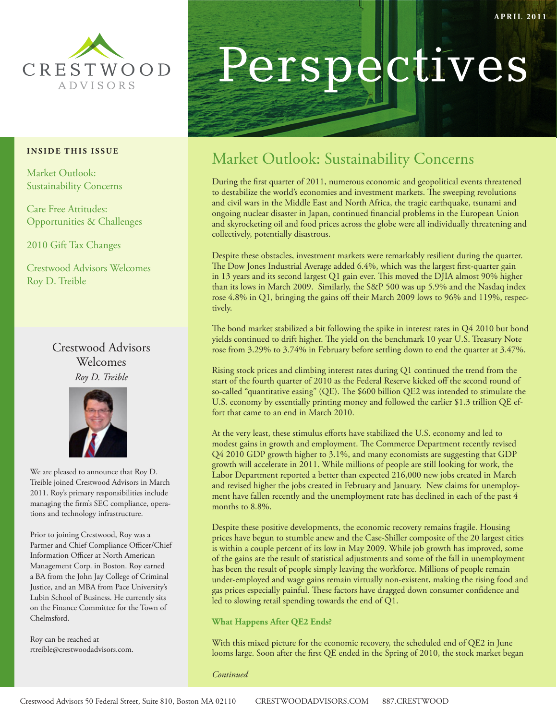

#### **INSIDE THIS ISSUE**

Market Outlook: Sustainability Concerns

Care Free Attitudes: Opportunities & Challenges

2010 Gift Tax Changes

Crestwood Advisors Welcomes Roy D. Treible

### Crestwood Advisors Welcomes *Roy D. Treible*



We are pleased to announce that Roy D. Treible joined Crestwood Advisors in March 2011. Roy's primary responsibilities include managing the firm's SEC compliance, operations and technology infrastructure.

Prior to joining Crestwood, Roy was a Partner and Chief Compliance Officer/Chief Information Officer at North American Management Corp. in Boston. Roy earned a BA from the John Jay College of Criminal Justice, and an MBA from Pace University's Lubin School of Business. He currently sits on the Finance Committee for the Town of Chelmsford.

Roy can be reached at rtreible@crestwoodadvisors.com.

# Perspectives

# Market Outlook: Sustainability Concerns

During the first quarter of 2011, numerous economic and geopolitical events threatened to destabilize the world's economies and investment markets. The sweeping revolutions and civil wars in the Middle East and North Africa, the tragic earthquake, tsunami and ongoing nuclear disaster in Japan, continued financial problems in the European Union and skyrocketing oil and food prices across the globe were all individually threatening and collectively, potentially disastrous.

Despite these obstacles, investment markets were remarkably resilient during the quarter. The Dow Jones Industrial Average added 6.4%, which was the largest first-quarter gain in 13 years and its second largest Q1 gain ever. This moved the DJIA almost 90% higher than its lows in March 2009. Similarly, the S&P 500 was up 5.9% and the Nasdaq index rose 4.8% in Q1, bringing the gains off their March 2009 lows to 96% and 119%, respectively.

The bond market stabilized a bit following the spike in interest rates in Q4 2010 but bond yields continued to drift higher. The yield on the benchmark 10 year U.S. Treasury Note rose from 3.29% to 3.74% in February before settling down to end the quarter at 3.47%.

Rising stock prices and climbing interest rates during Q1 continued the trend from the start of the fourth quarter of 2010 as the Federal Reserve kicked off the second round of so-called "quantitative easing" (QE). The \$600 billion QE2 was intended to stimulate the U.S. economy by essentially printing money and followed the earlier \$1.3 trillion QE effort that came to an end in March 2010.

At the very least, these stimulus efforts have stabilized the U.S. economy and led to modest gains in growth and employment. The Commerce Department recently revised Q4 2010 GDP growth higher to 3.1%, and many economists are suggesting that GDP growth will accelerate in 2011. While millions of people are still looking for work, the Labor Department reported a better than expected 216,000 new jobs created in March and revised higher the jobs created in February and January. New claims for unemployment have fallen recently and the unemployment rate has declined in each of the past 4 months to 8.8%.

Despite these positive developments, the economic recovery remains fragile. Housing prices have begun to stumble anew and the Case-Shiller composite of the 20 largest cities is within a couple percent of its low in May 2009. While job growth has improved, some of the gains are the result of statistical adjustments and some of the fall in unemployment has been the result of people simply leaving the workforce. Millions of people remain under-employed and wage gains remain virtually non-existent, making the rising food and gas prices especially painful. These factors have dragged down consumer confidence and led to slowing retail spending towards the end of Q1.

#### **What Happens After QE2 Ends?**

With this mixed picture for the economic recovery, the scheduled end of QE2 in June looms large. Soon after the first QE ended in the Spring of 2010, the stock market began

*Continued*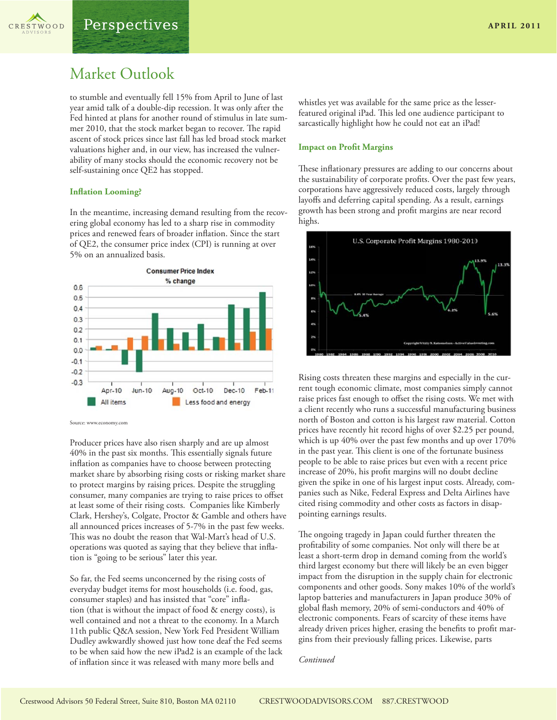

## Market Outlook

to stumble and eventually fell 15% from April to June of last year amid talk of a double-dip recession. It was only after the Fed hinted at plans for another round of stimulus in late summer 2010, that the stock market began to recover. The rapid ascent of stock prices since last fall has led broad stock market valuations higher and, in our view, has increased the vulnerability of many stocks should the economic recovery not be self-sustaining once QE2 has stopped.

#### **Inflation Looming?**

In the meantime, increasing demand resulting from the recovering global economy has led to a sharp rise in commodity prices and renewed fears of broader inflation. Since the start of QE2, the consumer price index (CPI) is running at over 5% on an annualized basis.



Producer prices have also risen sharply and are up almost 40% in the past six months. This essentially signals future inflation as companies have to choose between protecting market share by absorbing rising costs or risking market share to protect margins by raising prices. Despite the struggling consumer, many companies are trying to raise prices to offset at least some of their rising costs. Companies like Kimberly Clark, Hershey's, Colgate, Proctor & Gamble and others have all announced prices increases of 5-7% in the past few weeks. This was no doubt the reason that Wal-Mart's head of U.S. operations was quoted as saying that they believe that inflation is "going to be serious" later this year.

So far, the Fed seems unconcerned by the rising costs of everyday budget items for most households (i.e. food, gas, consumer staples) and has insisted that "core" inflation (that is without the impact of food & energy costs), is well contained and not a threat to the economy. In a March 11th public Q&A session, New York Fed President William Dudley awkwardly showed just how tone deaf the Fed seems to be when said how the new iPad2 is an example of the lack of inflation since it was released with many more bells and

whistles yet was available for the same price as the lesserfeatured original iPad. This led one audience participant to sarcastically highlight how he could not eat an iPad!

#### **Impact on Profit Margins**

These inflationary pressures are adding to our concerns about the sustainability of corporate profits. Over the past few years, corporations have aggressively reduced costs, largely through layoffs and deferring capital spending. As a result, earnings growth has been strong and profit margins are near record highs.



Rising costs threaten these margins and especially in the current tough economic climate, most companies simply cannot raise prices fast enough to offset the rising costs. We met with a client recently who runs a successful manufacturing business north of Boston and cotton is his largest raw material. Cotton prices have recently hit record highs of over \$2.25 per pound, which is up 40% over the past few months and up over 170% in the past year. This client is one of the fortunate business people to be able to raise prices but even with a recent price increase of 20%, his profit margins will no doubt decline given the spike in one of his largest input costs. Already, companies such as Nike, Federal Express and Delta Airlines have cited rising commodity and other costs as factors in disappointing earnings results.

The ongoing tragedy in Japan could further threaten the profitability of some companies. Not only will there be at least a short-term drop in demand coming from the world's third largest economy but there will likely be an even bigger impact from the disruption in the supply chain for electronic components and other goods. Sony makes 10% of the world's laptop batteries and manufacturers in Japan produce 30% of global flash memory, 20% of semi-conductors and 40% of electronic components. Fears of scarcity of these items have already driven prices higher, erasing the benefits to profit margins from their previously falling prices. Likewise, parts

#### *Continued*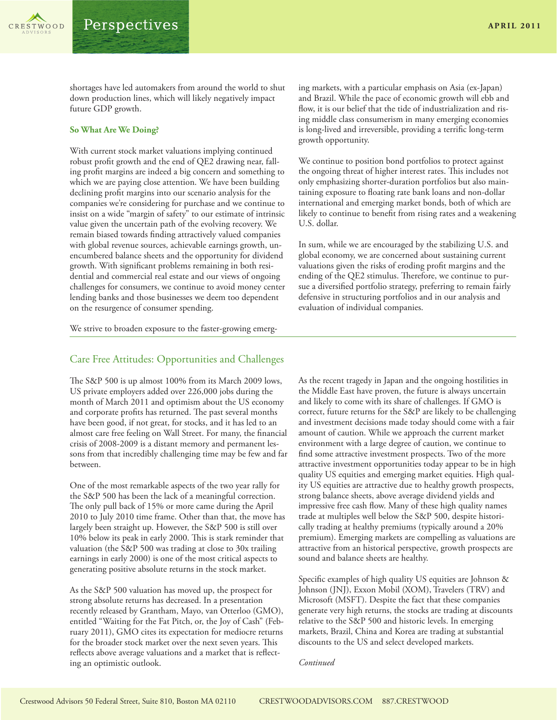shortages have led automakers from around the world to shut down production lines, which will likely negatively impact future GDP growth.

#### **So What Are We Doing?**

With current stock market valuations implying continued robust profit growth and the end of QE2 drawing near, falling profit margins are indeed a big concern and something to which we are paying close attention. We have been building declining profit margins into our scenario analysis for the companies we're considering for purchase and we continue to insist on a wide "margin of safety" to our estimate of intrinsic value given the uncertain path of the evolving recovery. We remain biased towards finding attractively valued companies with global revenue sources, achievable earnings growth, unencumbered balance sheets and the opportunity for dividend growth. With significant problems remaining in both residential and commercial real estate and our views of ongoing challenges for consumers, we continue to avoid money center lending banks and those businesses we deem too dependent on the resurgence of consumer spending.

ing markets, with a particular emphasis on Asia (ex-Japan) and Brazil. While the pace of economic growth will ebb and flow, it is our belief that the tide of industrialization and rising middle class consumerism in many emerging economies is long-lived and irreversible, providing a terrific long-term growth opportunity.

We continue to position bond portfolios to protect against the ongoing threat of higher interest rates. This includes not only emphasizing shorter-duration portfolios but also maintaining exposure to floating rate bank loans and non-dollar international and emerging market bonds, both of which are likely to continue to benefit from rising rates and a weakening U.S. dollar.

In sum, while we are encouraged by the stabilizing U.S. and global economy, we are concerned about sustaining current valuations given the risks of eroding profit margins and the ending of the QE2 stimulus. Therefore, we continue to pursue a diversified portfolio strategy, preferring to remain fairly defensive in structuring portfolios and in our analysis and evaluation of individual companies.

We strive to broaden exposure to the faster-growing emerg-

#### Care Free Attitudes: Opportunities and Challenges

The S&P 500 is up almost 100% from its March 2009 lows, US private employers added over 226,000 jobs during the month of March 2011 and optimism about the US economy and corporate profits has returned. The past several months have been good, if not great, for stocks, and it has led to an almost care free feeling on Wall Street. For many, the financial crisis of 2008-2009 is a distant memory and permanent lessons from that incredibly challenging time may be few and far between.

One of the most remarkable aspects of the two year rally for the S&P 500 has been the lack of a meaningful correction. The only pull back of 15% or more came during the April 2010 to July 2010 time frame. Other than that, the move has largely been straight up. However, the S&P 500 is still over 10% below its peak in early 2000. This is stark reminder that valuation (the S&P 500 was trading at close to 30x trailing earnings in early 2000) is one of the most critical aspects to generating positive absolute returns in the stock market.

As the S&P 500 valuation has moved up, the prospect for strong absolute returns has decreased. In a presentation recently released by Grantham, Mayo, van Otterloo (GMO), entitled "Waiting for the Fat Pitch, or, the Joy of Cash" (February 2011), GMO cites its expectation for mediocre returns for the broader stock market over the next seven years. This reflects above average valuations and a market that is reflecting an optimistic outlook.

As the recent tragedy in Japan and the ongoing hostilities in the Middle East have proven, the future is always uncertain and likely to come with its share of challenges. If GMO is correct, future returns for the S&P are likely to be challenging and investment decisions made today should come with a fair amount of caution. While we approach the current market environment with a large degree of caution, we continue to find some attractive investment prospects. Two of the more attractive investment opportunities today appear to be in high quality US equities and emerging market equities. High quality US equities are attractive due to healthy growth prospects, strong balance sheets, above average dividend yields and impressive free cash flow. Many of these high quality names trade at multiples well below the S&P 500, despite historically trading at healthy premiums (typically around a 20% premium). Emerging markets are compelling as valuations are attractive from an historical perspective, growth prospects are sound and balance sheets are healthy.

Specific examples of high quality US equities are Johnson & Johnson (JNJ), Exxon Mobil (XOM), Travelers (TRV) and Microsoft (MSFT). Despite the fact that these companies generate very high returns, the stocks are trading at discounts relative to the S&P 500 and historic levels. In emerging markets, Brazil, China and Korea are trading at substantial discounts to the US and select developed markets.

*Continued*